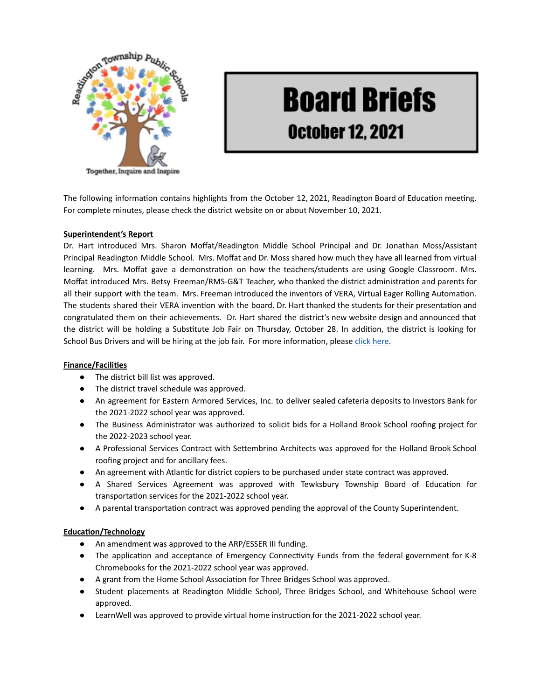

# **Board Briefs October 12, 2021**

The following information contains highlights from the October 12, 2021, Readington Board of Education meeting. For complete minutes, please check the district website on or about November 10, 2021.

## **Superintendent's Report**

Dr. Hart introduced Mrs. Sharon Moffat/Readington Middle School Principal and Dr. Jonathan Moss/Assistant Principal Readington Middle School. Mrs. Moffat and Dr. Moss shared how much they have all learned from virtual learning. Mrs. Moffat gave a demonstration on how the teachers/students are using Google Classroom. Mrs. Moffat introduced Mrs. Betsy Freeman/RMS-G&T Teacher, who thanked the district administration and parents for all their support with the team. Mrs. Freeman introduced the inventors of VERA, Virtual Eager Rolling Automation. The students shared their VERA invention with the board. Dr. Hart thanked the students for their presentation and congratulated them on their achievements. Dr. Hart shared the district's new website design and announced that the district will be holding a Substitute Job Fair on Thursday, October 28. In addition, the district is looking for School Bus Drivers and will be hiring at the job fair. For more information, please click [here](https://www.readington.k12.nj.us/Page/414).

#### **Finance/Facilities**

- The district bill list was approved.
- The district travel schedule was approved.
- An agreement for Eastern Armored Services, Inc. to deliver sealed cafeteria deposits to Investors Bank for the 2021-2022 school year was approved.
- The Business Administrator was authorized to solicit bids for a Holland Brook School roofing project for the 2022-2023 school year.
- A Professional Services Contract with Settembrino Architects was approved for the Holland Brook School roofing project and for ancillary fees.
- An agreement with Atlantic for district copiers to be purchased under state contract was approved.
- A Shared Services Agreement was approved with Tewksbury Township Board of Education for transportation services for the 2021-2022 school year.
- A parental transportation contract was approved pending the approval of the County Superintendent.

#### **Education/Technology**

- An amendment was approved to the ARP/ESSER III funding.
- The application and acceptance of Emergency Connectivity Funds from the federal government for K-8 Chromebooks for the 2021-2022 school year was approved.
- A grant from the Home School Association for Three Bridges School was approved.
- Student placements at Readington Middle School, Three Bridges School, and Whitehouse School were approved.
- LearnWell was approved to provide virtual home instruction for the 2021-2022 school year.